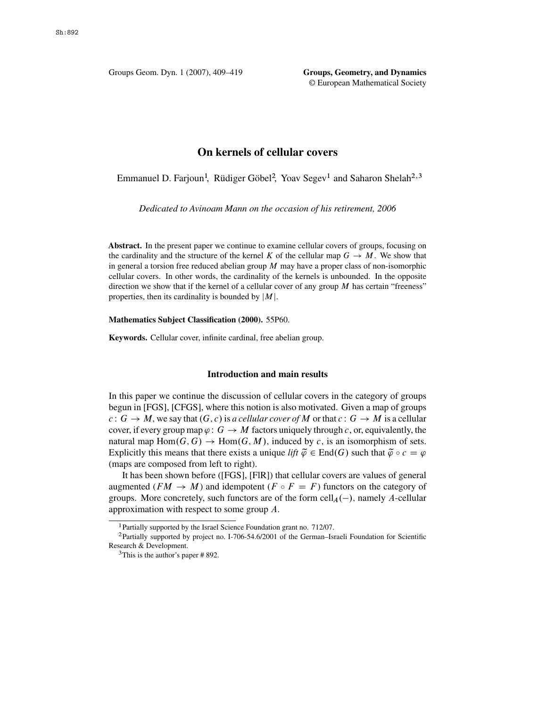Groups Geom. Dyn. 1 (2007), 409–419 **Groups, Geometry, and Dynamics** © European Mathematical Society

# **On kernels of cellular covers**

Emmanuel D. Farjoun<sup>1</sup>, Rüdiger Göbel<sup>2</sup>, Yoav Segev<sup>1</sup> and Saharon Shelah<sup>2,3</sup>

*Dedicated to Avinoam Mann on the occasion of his retirement, 2006*

**Abstract.** In the present paper we continue to examine cellular covers of groups, focusing on the cardinality and the structure of the kernel K of the cellular map  $G \to M$ . We show that in general a torsion free reduced abelian group  $M$  may have a proper class of non-isomorphic cellular covers. In other words, the cardinality of the kernels is unbounded. In the opposite direction we show that if the kernel of a cellular cover of any group  $M$  has certain "freeness" properties, then its cardinality is bounded by  $|M|$ .

#### **Mathematics Subject Classification (2000).** 55P60.

**Keywords.** Cellular cover, infinite cardinal, free abelian group.

# **Introduction and main results**

In this paper we continue the discussion of cellular covers in the category of groups begun in [\[FGS\]](#page-9-0), [\[CFGS\]](#page-9-0), where this notion is also motivated. Given a map of groups  $c: G \to M$ , we say that  $(G, c)$  is *a cellular cover of* M or that  $c: G \to M$  is a cellular cover, if every group map  $\varphi$ :  $G \to M$  factors uniquely through c, or, equivalently, the natural map Hom $(G, G) \to Hom(G, M)$ , induced by c, is an isomorphism of sets. Explicitly this means that there exists a unique *lift*  $\tilde{\varphi} \in \text{End}(G)$  such that  $\tilde{\varphi} \circ c = \varphi$ (maps are composed from left to right).

It has been shown before ([\[FGS\]](#page-9-0), [\[FlR\]](#page-9-0)) that cellular covers are values of general augmented  $(FM \rightarrow M)$  and idempotent  $(F \circ F = F)$  functors on the category of groups. More concretely, such functors are of the form  $\text{cell}_A(-)$ , namely A-cellular approximation with respect to some group A approximation with respect to some group A.

<sup>&</sup>lt;sup>1</sup>Partially supported by the Israel Science Foundation grant no. 712/07.

<sup>2</sup>Partially supported by project no. I-706-54.6/2001 of the German–Israeli Foundation for Scientific Research & Development.

<sup>3</sup>This is the author's paper # 892.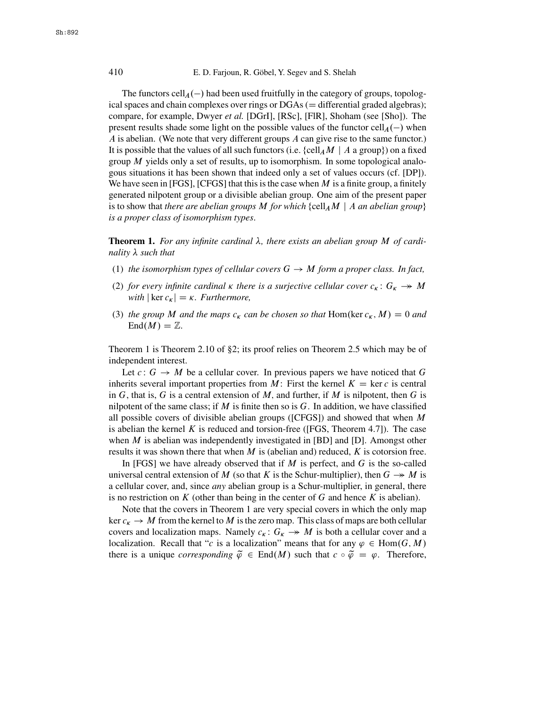## 410 E. D. Farjoun, R. Göbel, Y. Segev and S. Shelah

The functors cell $_A(-)$  had been used fruitfully in the category of groups, topolog-<br>spaces and chain complexes over rings or DGAs ( — differential graded algebras) ical spaces and chain complexes over rings or  $DGAs$  ( $=$  differential graded algebras); compare, for example, Dwyer *et al.* [\[DGrI\]](#page-9-0), [\[RSc\]](#page-10-0), [\[FlR\]](#page-9-0), Shoham (see [\[Sho\]](#page-10-0)). The present results shade some light on the possible values of the functor  $\text{cell}_A(-)$  when  $A$  is abelian. (We note that very different groups  $A$  can give rise to the same functor)  $\overline{A}$  is abelian. (We note that very different groups  $\overline{A}$  can give rise to the same functor.) It is possible that the values of all such functors (i.e.  $\{cell_A M \mid A \text{ a group}\})$  on a fixed group  $M$  yields only a set of results, up to isomorphism. In some topological analogous situations it has been shown that indeed only a set of values occurs (cf. [\[DP\]](#page-9-0)). We have seen in [\[FGS\]](#page-9-0), [\[CFGS\]](#page-9-0) that this is the case when  $M$  is a finite group, a finitely generated nilpotent group or a divisible abelian group. One aim of the present paper is to show that *there are abelian groups* M *for which* {cell<sub>A</sub>M | A *an abelian group*} *is a proper class of isomorphism types*.

**Theorem 1.** For any infinite cardinal  $\lambda$ , there exists an abelian group M of cardi-<br>nality  $\lambda$  such that nality  $λ$  such that

- (1) *the isomorphism types of cellular covers*  $G \rightarrow M$  *form a proper class. In fact,*
- (2) for every infinite cardinal  $\kappa$  there is a surjective cellular cover  $c_{\kappa} : G_{\kappa} \to M$ <br>with  $|\ker c| = \kappa$  Furthermore *with*  $|\ker c_{\kappa}| = \kappa$ . *Furthermore*,
- (3) *the group M and the maps*  $c_k$  *can be chosen so that* Hom(ker  $c_k$ , *M*) = 0 *and* Fnd(*M*)  $\mathbb{Z}$  $\text{End}(M) = \mathbb{Z}$ .

Theorem 1 is Theorem [2.10](#page-8-0) of §2; its proof relies on Theorem [2.5](#page-5-0) which may be of independent interest.

Let  $c: G \to M$  be a cellular cover. In previous papers we have noticed that G inherits several important properties from M: First the kernel  $K = \text{ker } c$  is central in  $G$ , that is,  $G$  is a central extension of  $M$ , and further, if  $M$  is nilpotent, then  $G$  is nilpotent of the same class; if  $M$  is finite then so is  $G$ . In addition, we have classified all possible covers of divisible abelian groups ( $[CFGS]$ ) and showed that when M is abelian the kernel  $K$  is reduced and torsion-free ([\[FGS,](#page-9-0) Theorem 4.7]). The case when  $M$  is abelian was independently investigated in  $[BD]$  and  $[D]$ . Amongst other results it was shown there that when  $M$  is (abelian and) reduced,  $K$  is cotorsion free.

In [\[FGS\]](#page-9-0) we have already observed that if  $M$  is perfect, and  $G$  is the so-called universal central extension of M (so that K is the Schur-multiplier), then  $G \rightarrow M$  is<br>a cellular cover and since any abelian group is a Schur-multiplier in general, there a cellular cover, and, since *any* abelian group is a Schur-multiplier, in general, there is no restriction on  $K$  (other than being in the center of  $G$  and hence  $K$  is abelian).

Note that the covers in Theorem 1 are very special covers in which the only map ker  $c_k \to M$  from the kernel to M is the zero map. This class of maps are both cellular covers and localization maps. Namely  $c : G \to M$  is both a cellular cover and a covers and localization maps. Namely  $c_k$ :  $G_k \to M$  is both a cellular cover and a<br>localization. Recall that "c-is a localization" means that for any  $a \in Hom(G, M)$  $\kappa \cdot \mathbf{G}_{\kappa}$ <br>tion" localization. Recall that "c is a localization" means that for any  $\varphi \in Hom(G, M)$ <br>there is a unique corresponding  $\widetilde{\varphi} \in End(M)$  such that  $c \circ \widetilde{\varphi} = \varphi$ . Therefore there is a unique *corresponding*  $\tilde{\varphi} \in End(M)$  such that  $c \circ \tilde{\varphi} = \varphi$ . Therefore,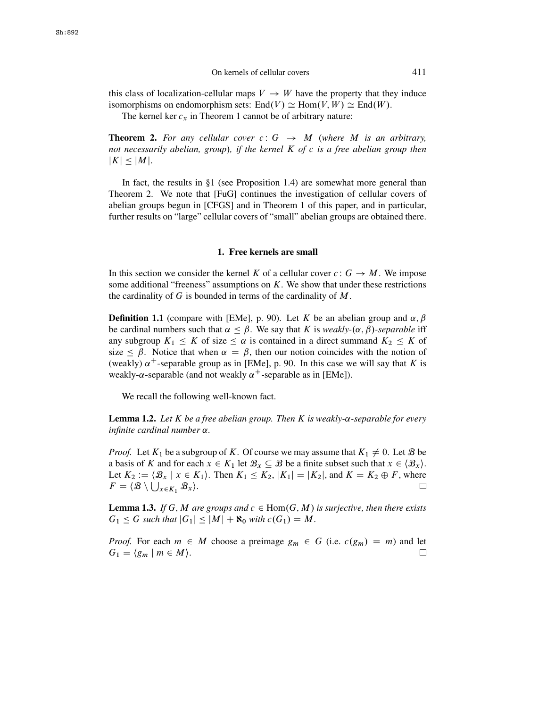<span id="page-2-0"></span>this class of localization-cellular maps  $V \rightarrow W$  have the property that they induce isomorphisms on endomorphism sets:  $End(V) \cong Hom(V, W) \cong End(W)$ .

The kernel ker  $c_x$  in Theorem 1 cannot be of arbitrary nature:

**Theorem 2.** For any cellular cover  $c: G \rightarrow M$  (where M is an arbitrary, *not necessarily abelian, group*/*, if the kernel* K *of* c *is a free abelian group then*  $|K| \leq |M|$ .

In fact, the results in  $\S1$  (see Proposition 1.4) are somewhat more general than Theorem 2. We note that [\[FuG\]](#page-9-0) continues the investigation of cellular covers of abelian groups begun in [\[CFGS\]](#page-9-0) and in Theorem 1 of this paper, and in particular, further results on "large" cellular covers of "small" abelian groups are obtained there.

#### **1. Free kernels are small**

In this section we consider the kernel K of a cellular cover  $c: G \rightarrow M$ . We impose some additional "freeness" assumptions on  $K$ . We show that under these restrictions the cardinality of  $G$  is bounded in terms of the cardinality of  $M$ .

**Definition 1.1** (compare with [\[EMe\]](#page-9-0), p. 90). Let K be an abelian group and  $\alpha$ ,  $\beta$ be cardinal numbers such that  $\alpha \leq \beta$ . We say that K is *weakly-*( $\alpha$ ,  $\beta$ )*-separable* iff any subgroup  $K_1 \leq K$  of size  $\leq \alpha$  is contained in a direct summand  $K_2 \leq K$  of size  $\leq \beta$ . Notice that when  $\alpha = \beta$ , then our notion coincides with the notion of (weakly)  $\alpha^+$ -separable group as in [\[EMe\]](#page-9-0), p. 90. In this case we will say that K is weakly- $\alpha$ -separable (and not weakly  $\alpha^+$ -separable as in [\[EMe\]](#page-9-0)).

We recall the following well-known fact.

**Lemma 1.2.** Let  $K$  be a free abelian group. Then  $K$  is weakly- $\alpha$ -separable for every *infinite cardinal number* α.

*Proof.* Let  $K_1$  be a subgroup of K. Of course we may assume that  $K_1 \neq 0$ . Let  $\mathcal{B}$  be a basis of K and for each  $x \in K_1$  let  $\mathcal{B}_x \subseteq \mathcal{B}$  be a finite subset such that  $x \in \langle \mathcal{B}_x \rangle$ . Let  $K_2 := \langle \mathcal{B}_x | x \in K_1 \rangle$ . Then  $K_1 \le K_2$ ,  $|K_1| = |K_2|$ , and  $K = K_2 \oplus F$ , where  $F = \langle \mathcal{B} \setminus \bigcup_{x \in K_1} \mathcal{B}_x \rangle$ .  $F = \langle \mathcal{B} \setminus \bigcup_{x \in K_1} \mathcal{B}_x \rangle.$ 

**Lemma 1.3.** *If* G, M are groups and  $c \in Hom(G, M)$  is surjective, then there exists  $G_1 \leq G$  such that  $|G_1| \leq |M| + \aleph_0$  with  $c(G_1) = M$ .

*Proof.* For each  $m \in M$  choose a preimage  $g_m \in G$  (i.e.  $c(g_m) = m$ ) and let  $G_1 = \langle g_m | m \in M \rangle$ .  $G_1 = \langle g_m \mid m \in M \rangle$ .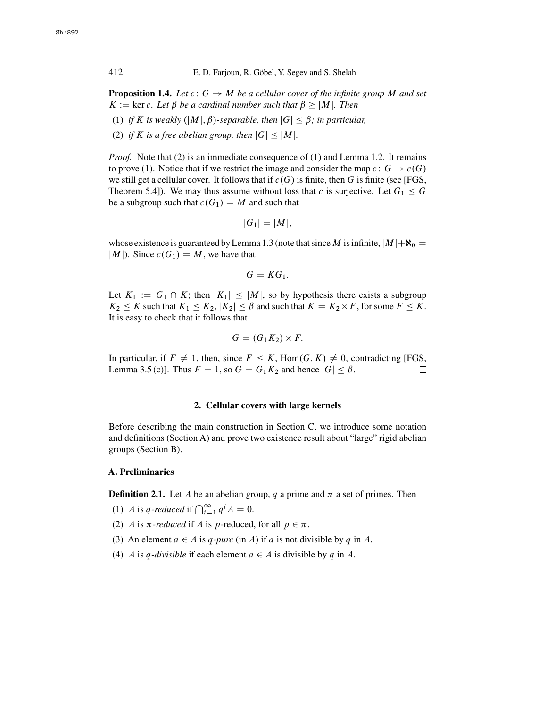**Proposition 1.4.** Let  $c: G \rightarrow M$  be a cellular cover of the infinite group M and set  $K := \ker c$ . Let  $\beta$  be a cardinal number such that  $\beta > |M|$ . Then

- (1) *if* K is weakly  $(|M|, \beta)$ -separable, then  $|G| < \beta$ ; in particular,
- (2) *if* K *is a free abelian group, then*  $|G| < |M|$ *.*

*Proof.* Note that (2) is an immediate consequence of (1) and Lemma [1.2.](#page-2-0) It remains to prove (1). Notice that if we restrict the image and consider the map  $c: G \to c(G)$ we still get a cellular cover. It follows that if  $c(G)$  is finite, then G is finite (see [\[FGS,](#page-9-0) Theorem 5.4]). We may thus assume without loss that c is surjective. Let  $G_1 \leq G$ be a subgroup such that  $c(G_1) = M$  and such that

$$
|G_1|=|M|,
$$

whose existence is guaranteed by Lemma [1.3](#page-2-0) (note that since M is infinite,  $|M|+R_0=$  $|M|$ ). Since  $c(G_1) = M$ , we have that

$$
G=KG_1.
$$

Let  $K_1 := G_1 \cap K$ ; then  $|K_1| \leq |M|$ , so by hypothesis there exists a subgroup  $K_2 \leq K$  such that  $K_1 \leq K_2$ ,  $|K_2| \leq \beta$  and such that  $K = K_2 \times F$ , for some  $F \leq K$ . It is easy to check that it follows that

$$
G = (G_1 K_2) \times F.
$$

In particular, if  $F \neq 1$ , then, since  $F \leq K$ , Hom $(G, K) \neq 0$ , contradicting [\[FGS,](#page-9-0) Lemma 3.5 (c)]. Thus  $F = 1$ , so  $G = G_1 K_2$  and hence  $|G| \leq \beta$ . Lemma 3.5 (c)]. Thus  $F = 1$ , so  $G = G_1K_2$  and hence  $|G| \le \beta$ .

### **2. Cellular covers with large kernels**

Before describing the main construction in Section C, we introduce some notation and definitions (Section A) and prove two existence result about "large" rigid abelian groups (Section B).

### **A. Preliminaries**

**Definition 2.1.** Let A be an abelian group, q a prime and  $\pi$  a set of primes. Then

- (1) A is q-reduced if  $\bigcap_{i=1}^{\infty} q^{i} A = 0$ .
- (2) A is  $\pi$ -reduced if A is p-reduced, for all  $p \in \pi$ .
- (3) An element  $a \in A$  is q-pure (in A) if a is not divisible by q in A.
- (4) A is q-divisible if each element  $a \in A$  is divisible by q in A.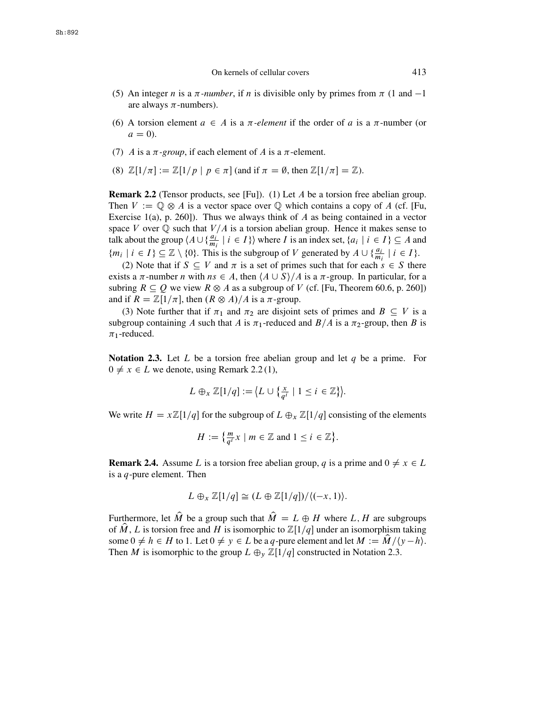- <span id="page-4-0"></span>(5) An integer *n* is a  $\pi$ -number, if *n* is divisible only by primes from  $\pi$  (1 and -1) are always  $\pi$ -numbers).
- (6) A torsion element  $a \in A$  is a  $\pi$ -element if the order of a is a  $\pi$ -number (or  $a = 0$ ).
- (7) A is a  $\pi$ -group, if each element of A is a  $\pi$ -element.
- (8)  $\mathbb{Z}[1/\pi] := \mathbb{Z}[1/p \mid p \in \pi]$  (and if  $\pi = \emptyset$ , then  $\mathbb{Z}[1/\pi] = \mathbb{Z}$ ).

**Remark 2.2** (Tensor products, see [\[Fu\]](#page-9-0)). (1) Let A be a torsion free abelian group. Then  $V := \mathbb{Q} \otimes A$  is a vector space over  $\mathbb Q$  which contains a copy of A (cf. [\[Fu,](#page-9-0) Exercise 1(a), p. 260]). Thus we always think of A as being contained in a vector space V over  $\mathbb Q$  such that  $V/A$  is a torsion abelian group. Hence it makes sense to talk about the group  $\langle A \cup \{\frac{a_i}{m_i} \mid i \in I\} \rangle$  where I is an index set,  $\{a_i \mid i \in I\} \subseteq A$  and  ${m_i \mid i \in I} \subseteq \mathbb{Z} \setminus \{0\}$ . This is the subgroup of V generated by  $A \cup \{\frac{a_i}{m_i} \mid i \in I\}$ .<br>(2) Note that if  $S \subset V$  and  $\pi$  is a set of primes such that for each  $s \in S$  the

(2) Note that if  $S \subseteq V$  and  $\pi$  is a set of primes such that for each  $s \in S$  there exists a  $\pi$ -number *n* with  $ns \in A$ , then  $\langle A \cup S \rangle / A$  is a  $\pi$ -group. In particular, for a subring  $R \subseteq Q$  we view  $R \otimes A$  as a subgroup of V (cf. [\[Fu,](#page-9-0) Theorem 60.6, p. 260]) and if  $R = \mathbb{Z}[1/\pi]$ , then  $(R \otimes A)/A$  is a  $\pi$ -group.

(3) Note further that if  $\pi_1$  and  $\pi_2$  are disjoint sets of primes and  $B \subseteq V$  is a subgroup containing A such that A is  $\pi_1$ -reduced and  $B/A$  is a  $\pi_2$ -group, then B is  $\pi_1$ -reduced.

**Notation 2.3.** Let L be a torsion free abelian group and let  $q$  be a prime. For  $0 \neq x \in L$  we denote, using Remark 2.2(1),

$$
L \oplus_x \mathbb{Z}[1/q] := \big\langle L \cup \big\{ \frac{x}{q^i} \mid 1 \leq i \in \mathbb{Z} \big\} \big\rangle.
$$

We write  $H = x\mathbb{Z}[1/q]$  for the subgroup of  $L \oplus_x \mathbb{Z}[1/q]$  consisting of the elements

$$
H := \left\{ \frac{m}{q^i} x \mid m \in \mathbb{Z} \text{ and } 1 \leq i \in \mathbb{Z} \right\}.
$$

**Remark 2.4.** Assume L is a torsion free abelian group, q is a prime and  $0 \neq x \in L$ is a  $q$ -pure element. Then

$$
L \oplus_x \mathbb{Z}[1/q] \cong (L \oplus \mathbb{Z}[1/q]) / \langle (-x, 1) \rangle.
$$

Furthermore, let  $\hat{M}$  be a group such that  $\hat{M} = L \oplus H$  where L, H are subgroups of  $\hat{M}$ , L is torsion free and H is isomorphic to  $\mathbb{Z}[1/q]$  under an isomorphism taking some  $0 \neq h \in H$  to 1. Let  $0 \neq y \in L$  be a q-pure element and let  $M := M / \{y - h\}$ .<br>Then M is isomorphic to the group  $L \oplus \mathbb{Z}[1/a]$  constructed in Notation 2.3 Then *M* is isomorphic to the group  $L \oplus_{y} \mathbb{Z}[1/q]$  constructed in Notation 2.3.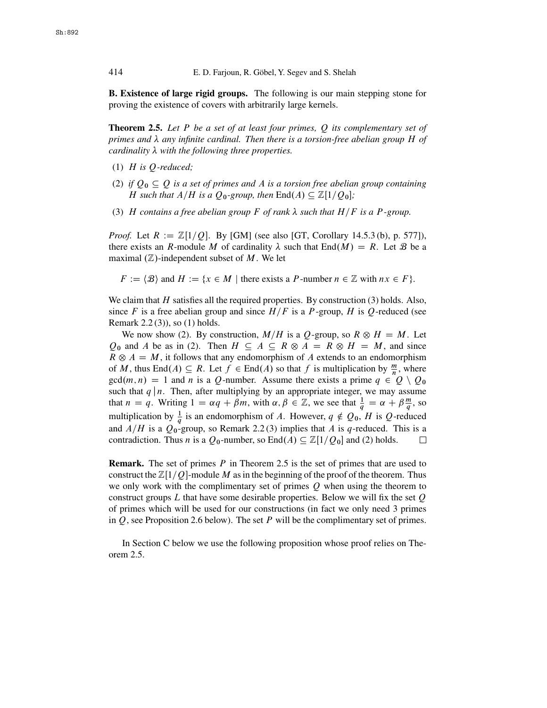<span id="page-5-0"></span>414 E. D. Farjoun, R. Göbel, Y. Segev and S. Shelah

**B. Existence of large rigid groups.** The following is our main stepping stone for proving the existence of covers with arbitrarily large kernels.

**Theorem 2.5.** *Let* P *be a set of at least four primes,* Q *its complementary set of* primes and λ any infinite cardinal. Then there is a torsion-free abelian group *H* of<br>cardinality λ with the following three properties  $cardinality \lambda$  with the following three properties.

- (1) H *is* Q*-reduced;*
- (2) *if*  $Q_0 \subseteq Q$  *is a set of primes and A is a torsion free abelian group containing H* such that  $A/H$  is a  $Q_0$ -group, then  $\text{End}(A) \subseteq \mathbb{Z}[1/Q_0];$
- (3) H contains a free abelian group F of rank  $\lambda$  such that  $H/F$  is a P-group.

*Proof.* Let  $R := \mathbb{Z}[1/Q]$ . By [\[GM\]](#page-9-0) (see also [\[GT,](#page-10-0) Corollary 14.5.3 (b), p. 577]), there exists an R-module M of cardinality  $\lambda$  such that  $End(M) = R$ . Let B be a maximal  $(\mathbb{Z})$ -independent subset of M. We let maximal  $(\mathbb{Z})$ -independent subset of M. We let

 $F := \langle \mathcal{B} \rangle$  and  $H := \{x \in M \mid \text{there exists a } P\text{-number } n \in \mathbb{Z} \text{ with } nx \in F\}.$ 

We claim that  $H$  satisfies all the required properties. By construction (3) holds. Also, since F is a free abelian group and since  $H/F$  is a P-group, H is Q-reduced (see Remark [2.2](#page-4-0) (3)), so (1) holds.

We now show (2). By construction,  $M/H$  is a Q-group, so  $R \otimes H = M$ . Let  $Q_0$  and A be as in (2). Then  $H \subseteq A \subseteq R \otimes A = R \otimes H = M$ , and since  $R \otimes A = M$ , it follows that any endomorphism of A extends to an endomorphism of M, thus End $(A) \subseteq R$ . Let  $f \in End(A)$  so that f is multiplication by  $\frac{m}{n}$ , where  $\gcd(m, n) = 1$  and n is a *O*-number. Assume there exists a prime  $a \in O \setminus O_2$  $gcd(m, n) = 1$  and n is a Q-number. Assume there exists a prime  $q \in Q \setminus Q_0$ such that  $q \mid n$ . Then, after multiplying by an appropriate integer, we may assume that  $n = q$ . Writing  $1 = \alpha q + \beta m$ , with  $\alpha, \beta \in \mathbb{Z}$ , we see that  $\frac{1}{q} = \alpha + \beta \frac{m}{q}$ , so multiplication by  $\frac{1}{q}$  is an endomorphism of A. However,  $q \notin Q_0$ , H is Q-reduced<br>and  $A/H$  is a Q-group so Bomark 2.2.(3) implies that A is a reduced. This is a and  $A/H$  is a  $Q_0$ -group, so Remark [2.2](#page-4-0) (3) implies that A is q-reduced. This is a contradiction. Thus n is a  $Q_0$ -number, so End $(A) \subseteq \mathbb{Z}[1/O_0]$  and (2) holds. contradiction. Thus *n* is a  $Q_0$ -number, so End $(A) \subseteq \mathbb{Z}[1/Q_0]$  and (2) holds.

**Remark.** The set of primes P in Theorem 2.5 is the set of primes that are used to construct the  $\mathbb{Z}[1/Q]$ -module M as in the beginning of the proof of the theorem. Thus we only work with the complimentary set of primes  $O$  when using the theorem to construct groups  $L$  that have some desirable properties. Below we will fix the set  $Q$ of primes which will be used for our constructions (in fact we only need 3 primes in  $Q$ , see Proposition 2.6 below). The set  $P$  will be the complimentary set of primes.

In Section C below we use the following proposition whose proof relies on Theorem 2.5.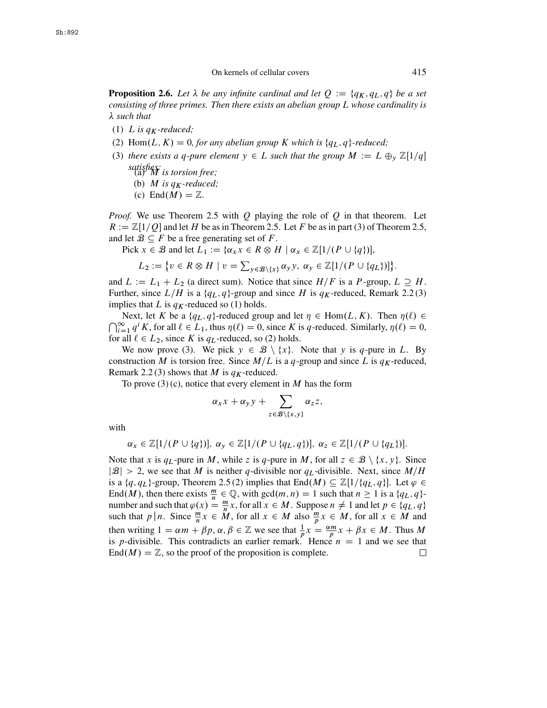**Proposition 2.6.** Let  $\lambda$  be any infinite cardinal and let  $Q := \{q_K, q_L, q\}$  be a set<br>consisting of three primes. Then there exists an abelian group L whose cardinality is *consisting of three primes. Then there exists an abelian group* L *whose cardinality is such that*

- (1) L is  $q_K$ -reduced;<br>(2) U<sub>2</sub>m(L<sub>K</sub>) 0
- (2) Hom $(L, K) = 0$ , for any abelian group K which is  $\{q_L, q\}$ -reduced;
- (3) *there exists a q-pure element*  $y \in L$  *such that the group*  $M := L \bigoplus_{y} \mathbb{Z}[1/q]$ *satisfies:* (a) M *is torsion free;*
	- (b) *M* is  $q_K$ -reduced;
	- (c) End $(M) = \mathbb{Z}$ .

*Proof.* We use Theorem [2.5](#page-5-0) with  $Q$  playing the role of  $Q$  in that theorem. Let  $R := \mathbb{Z}[1/Q]$  and let H be as in Theorem [2.5.](#page-5-0) Let F be as in part (3) of Theorem [2.5,](#page-5-0) and let  $\mathcal{B} \subseteq F$  be a free generating set of F.

Pick  $x \in \mathcal{B}$  and let  $L_1 := \{ \alpha_x x \in R \otimes H \mid \alpha_x \in \mathbb{Z} [ 1 / (P \cup \{q\}) ],$ 

$$
L_2 := \{ v \in R \otimes H \mid v = \sum_{y \in \mathcal{B} \setminus \{x\}} \alpha_y y, \, \alpha_y \in \mathbb{Z}[1/(P \cup \{q_L\})] \}.
$$

and  $L := L_1 + L_2$  (a direct sum). Notice that since  $H/F$  is a P-group,  $L \supseteq H$ .<br>Further, since  $L/H$  is a *{a<sub>L</sub> a}-group* and since H is *av-reduced*. Remark 2.2(3) Further, since  $L/H$  is a  $\{q_L, q\}$ -group and since H is  $q_K$ -reduced, Remark [2.2](#page-4-0) (3) implies that L is  $q_K$ -reduced so (1) holds.<br>Next, let K be a  $\{q_L, q\}$ -reduced group and let  $\eta \in \text{Hom}(L, K)$ . Then  $\eta(\ell) \in$ 

Next, let K be a  $\{q_L, q\}$ -reduced group and let  $\eta \in \text{Hom}(L, K)$ . Then  $\eta(\ell) \in \bigcap_{i=1}^{\infty} q^i K$ , for all  $\ell \in L_1$ , thus  $\eta(\ell) = 0$ , since K is q-reduced. Similarly,  $\eta(\ell) = 0$ ,  $\sum_{i=1}^{\infty} q^{i} K$ , for all  $\ell \in L_1$ , thus  $\eta(\ell) = 0$ , since K is q-reduced. Similarly,  $\eta(\ell) = 0$ ,  $\eta(\ell) = 0$ ,  $\eta(\ell) = 0$ for all  $\ell \in L_2$ , since K is  $q_L$ -reduced, so (2) holds.

We now prove (3). We pick  $y \in \mathcal{B} \setminus \{x\}$ . Note that y is q-pure in L. By construction M is torsion free. Since  $M/L$  is a q-group and since L is  $q_K$ -reduced, Remark [2.2](#page-4-0)(3) shows that M is  $q_K$ -reduced.

To prove  $(3)$  (c), notice that every element in M has the form

$$
\alpha_x x + \alpha_y y + \sum_{z \in \mathcal{B} \setminus \{x,y\}} \alpha_z z,
$$

with

$$
\alpha_x \in \mathbb{Z}[1/(P \cup \{q\})], \ \alpha_y \in \mathbb{Z}[1/(P \cup \{q_L, q\})], \ \alpha_z \in \mathbb{Z}[1/(P \cup \{q_L\})].
$$

Note that x is  $q_L$ -pure in M, while z is q-pure in M, for all  $z \in \mathcal{B} \setminus \{x, y\}$ . Since  $|\mathcal{B}| > 2$ , we see that M is neither q-divisible nor  $q_L$ -divisible. Next, since  $M/H$ is a  $\{q, q_L\}$ -group, Theorem [2.5](#page-5-0) (2) implies that End $(M) \subseteq \mathbb{Z}[1/\{q_L, q\}]$ . Let  $\varphi \in$ End(*M*), then there exists  $\frac{m}{n} \in \mathbb{Q}$ , with  $gcd(m, n) = 1$  such that  $n \ge 1$  is a  $\{q_L, q\}$ -<br>number and such that  $a(x) = \frac{m}{n}x$  for all  $x \in M$ . Suppose  $n \ne 1$  and let  $n \in \{a, a\}$ number and such that  $\varphi(x) = \frac{m}{n}x$ , for all  $x \in M$ . Suppose  $n \neq 1$  and let  $p \in \{q_L, q\}$ <br>such that  $p | n$ . Since  $\frac{m}{n}x \in M$  for all  $x \in M$  also  $\frac{m}{n}x \in M$  for all  $x \in M$  and such that p | n. Since  $\frac{m}{n}x \in \tilde{M}$ , for all  $x \in M$  also  $\frac{m}{p}x \in M$ , for all  $x \in M$  and then writing  $1 = \alpha m + \beta p$ ,  $\alpha, \beta \in \mathbb{Z}$  we see that  $\frac{1}{p}x = \frac{\alpha m}{p}x + \beta x \in M$ . Thus M<br>is n-divisible. This contradicts an earlier remark. Hence  $n = 1$  and we see that is p-divisible. This contradicts an earlier remark. Hence  $n = 1$  and we see that  $End(M) - \mathbb{Z}$  so the proof of the proposition is complete  $End(M) = \mathbb{Z}$ , so the proof of the proposition is complete.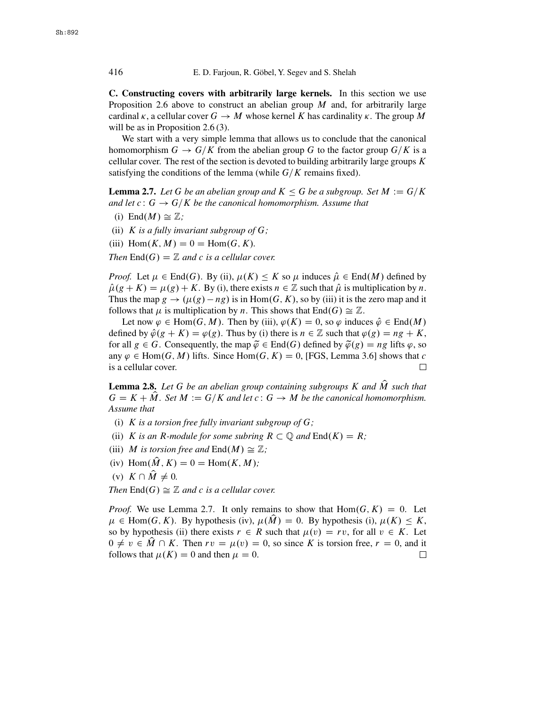<span id="page-7-0"></span>**C. Constructing covers with arbitrarily large kernels.** In this section we use Proposition [2.6](#page-5-0) above to construct an abelian group  $M$  and, for arbitrarily large cardinal  $\kappa$ , a cellular cover  $G \to M$  whose kernel K has cardinality  $\kappa$ . The group M will be as in Proposition [2.6](#page-5-0) (3).

We start with a very simple lemma that allows us to conclude that the canonical homomorphism  $G \to G/K$  from the abelian group G to the factor group  $G/K$  is a cellular cover. The rest of the section is devoted to building arbitrarily large groups  $K$ satisfying the conditions of the lemma (while  $G/K$  remains fixed).

**Lemma 2.7.** Let G be an abelian group and  $K \leq G$  be a subgroup. Set  $M := G/K$ *and let*  $c: G \rightarrow G/K$  *be the canonical homomorphism. Assume that* 

- (i) End $(M) \cong \mathbb{Z}$ ;
- (ii) K *is a fully invariant subgroup of* G*;*

(iii)  $Hom(K, M) = 0 = Hom(G, K)$ *.* 

*Then*  $\text{End}(G) = \mathbb{Z}$  *and c is a cellular cover.* 

*Proof.* Let  $\mu \in \text{End}(G)$ . By (ii),  $\mu(K) \leq K$  so  $\mu$  induces  $\hat{\mu} \in \text{End}(M)$  defined by  $\hat{\mu}(g + K) = \mu(g) + K$ . By (i), there exists  $n \in \mathbb{Z}$  such that  $\hat{\mu}$  is multiplication by n. Thus the map  $g \to (\mu(g) - ng)$  is in Hom $(G, K)$ , so by (iii) it is the zero map and it follows that  $\mu$  is multiplication by  $n$ . This shows that  $\text{End}(G) \simeq \mathbb{Z}$ . follows that  $\mu$  is multiplication by n. This shows that End(G)  $\cong \mathbb{Z}$ .

Let now  $\varphi \in \text{Hom}(G, M)$ . Then by (iii),  $\varphi(K) = 0$ , so  $\varphi$  induces  $\hat{\varphi} \in \text{End}(M)$ defined by  $\hat{\varphi}(g + K) = \varphi(g)$ . Thus by (i) there is  $n \in \mathbb{Z}$  such that  $\varphi(g) = ng + K$ , for all  $g \in G$ . Consequently, the map  $\tilde{\varphi} \in End(G)$  defined by  $\tilde{\varphi}(g) = ng$  lifts  $\varphi$ , so any  $\varphi \in \text{Hom}(G, M)$  lifts. Since  $\text{Hom}(G, K) = 0$ , [\[FGS,](#page-9-0) Lemma 3.6] shows that c is a cellular cover. is a cellular cover.

**Lemma 2.8.** Let G be an abelian group containing subgroups K and  $\hat{M}$  such that  $G = K + \hat{M}$ . Set  $M := G/K$  and let  $c : G \to M$  be the canonical homomorphism. *Assume that*

- (i) K *is a torsion free fully invariant subgroup of* G*;*
- (ii) K is an R-module for some subring  $R \subset \mathbb{Q}$  and  $\text{End}(K) = R$ ;
- (iii) *M* is torsion free and  $\text{End}(M) \cong \mathbb{Z}$ ;
- (iv)  $\text{Hom}(\widehat{M}, K) = 0 = \text{Hom}(K, M);$
- (v)  $K \cap \hat{M} \neq 0$ .

*Then*  $\text{End}(G) \cong \mathbb{Z}$  *and c is a cellular cover.* 

*Proof.* We use Lemma 2.7. It only remains to show that  $Hom(G, K) = 0$ . Let  $\mu \in \text{Hom}(G, K)$ . By hypothesis (iv),  $\mu(\hat{M}) = 0$ . By hypothesis (i),  $\mu(K) \leq K$ , so by hypothesis (ii) there exists  $r \in R$  such that  $\mu(v) = rv$ , for all  $v \in K$ . Let  $0 \neq v \in \hat{M} \cap K$ . Then  $rv = \mu(v) = 0$ , so since K is torsion free,  $r = 0$ , and it follows that  $\mu(K) = 0$  and then  $\mu = 0$ . follows that  $\mu(K) = 0$  and then  $\mu = 0$ .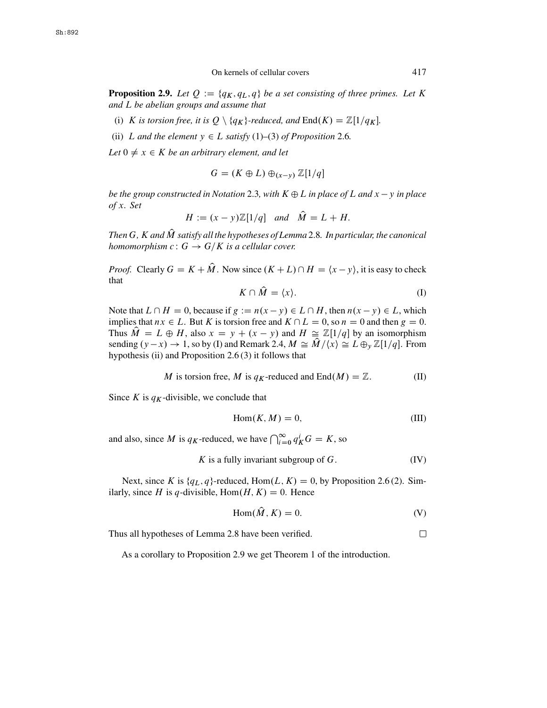<span id="page-8-0"></span>**Proposition 2.9.** *Let*  $Q := \{q_K, q_L, q\}$  *be a set consisting of three primes. Let* K *and* L *be abelian groups and assume that*

- (i) K is torsion free, it is  $Q \setminus \{q_K\}$ -reduced, and  $\text{End}(K) = \mathbb{Z}[1/q_K]$ .
- (ii) L and the element  $y \in L$  *satisfy* (1)–(3) *of Proposition* [2.6](#page-5-0)*.*

Let  $0 \neq x \in K$  *be an arbitrary element, and let* 

$$
G = (K \oplus L) \oplus_{(x-y)} \mathbb{Z}[1/q]
$$

*be the group constructed in Notation* [2.3](#page-4-0), with  $K \oplus L$  *in place of L and x*  $-$  *y in place*<br>of x \_Set *of* x*. Set*

$$
H := (x - y)\mathbb{Z}[1/q] \quad \text{and} \quad \widehat{M} = L + H.
$$

*Then* G, K and M satisfy all the hypotheses of Lemma [2.8](#page-7-0). In particular, the canonical homomorphism  $c: G \to G/K$  is a cellular cover *homomorphism*  $c: G \rightarrow G/K$  *is a cellular cover.* 

*Proof.* Clearly  $G = K + M$ . Now since  $(K + L) \cap H = \langle x - y \rangle$ , it is easy to check that

$$
K \cap \hat{M} = \langle x \rangle.
$$
 (I)

Note that  $L \cap H = 0$ , because if  $g := n(x - y) \in L \cap H$ , then  $n(x - y) \in L$ , which implies that  $nx \in L$ . But K is torsion free and  $K \cap L = 0$  so  $n = 0$  and then  $a = 0$ . implies that  $nx \in L$ . But K is torsion free and  $K \cap L = 0$ , so  $n = 0$  and then  $g = 0$ . Thus  $M = L \oplus H$ , also  $x = y + (x - y)$  and  $H \cong \mathbb{Z}[1/q]$  by an isomorphism<br>sending  $(y - x) \to 1$  so by (I) and Remark 2.4  $M \cong \widehat{M}/(x) \cong L \oplus \mathbb{Z}[1/q]$ . From sending  $(y-x) \to 1$ , so by (I) and Remark [2.4,](#page-4-0)  $M \cong M/\langle x \rangle \cong L \oplus_y \mathbb{Z}[1/q]$ . From hypothesis (ii) and Proposition 2.6.(3) it follows that hypothesis (ii) and Proposition  $2.6(3)$  it follows that

*M* is torsion free, *M* is 
$$
q_K
$$
-reduced and End(*M*) = Z. (II)

Since K is  $q_K$ -divisible, we conclude that

$$
Hom(K, M) = 0,\t\t(III)
$$

and also, since *M* is  $q_K$ -reduced, we have  $\bigcap_{i=0}^{\infty} q_K^i G = K$ , so

K is a fully invariant subgroup of 
$$
G
$$
. (IV)

Next, since K is  $\{q_L, q\}$ -reduced, Hom $(L, K) = 0$ , by Proposition [2.6](#page-5-0) (2). Similarly, since H is q-divisible, Hom $(H, K) = 0$ . Hence

$$
Hom(\hat{M}, K) = 0.
$$
 (V)

Thus all hypotheses of Lemma [2.8](#page-7-0) have been verified.

As a corollary to Proposition 2.9 we get Theorem 1 of the introduction.

 $\Box$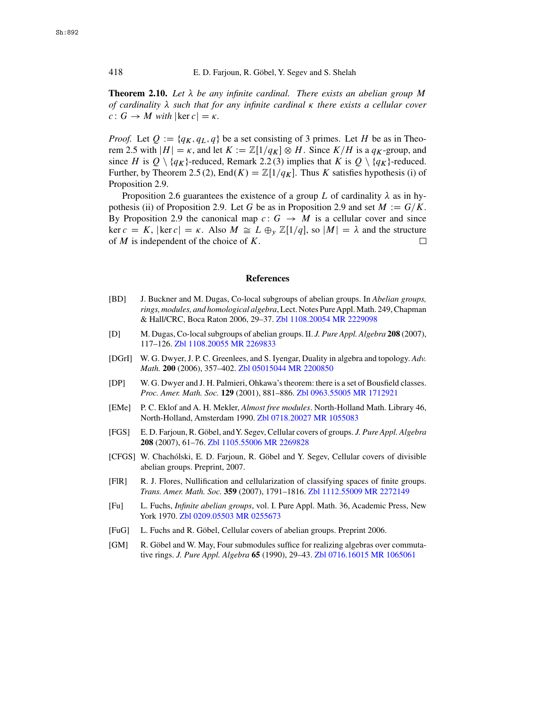**Theorem 2.10.** Let  $\lambda$  be any infinite cardinal. There exists an abelian group M<br>of cardinality  $\lambda$  such that for any infinite cardinal  $\kappa$  there exists a cellular cover *of cardinality*  $\lambda$  such that for any infinite cardinal  $\kappa$  there exists a cellular cover<br> $c: G \to M$  with  $|\ker c| = \kappa$  $c: G \to M$  *with*  $|\ker c| = \kappa$ .

*Proof.* Let  $Q := \{q_K, q_L, q\}$  be a set consisting of 3 primes. Let H be as in Theo-rem [2.5](#page-5-0) with  $|H| = \kappa$ , and let  $K := \mathbb{Z}[1/q_K] \otimes H$ . Since  $K/H$  is a  $q_K$ -group, and since H is  $Q \setminus \{q_K\}$ -reduced, Remark [2.2](#page-4-0) (3) implies that K is  $Q \setminus \{q_K\}$ -reduced. Further, by Theorem [2.5](#page-5-0) (2), End $(K) = \mathbb{Z}[1/q_K]$ . Thus K satisfies hypothesis (i) of Proposition [2.9.](#page-8-0)

Proposition [2.6](#page-5-0) guarantees the existence of a group L of cardinality  $\lambda$  as in hy-<br>hesis (ii) of Proposition 2.9. Let G be as in Proposition 2.9 and set  $M := G/K$ pothesis (ii) of Proposition [2.9.](#page-8-0) Let G be as in Proposition [2.9](#page-8-0) and set  $M := G/K$ . By Proposition [2.9](#page-8-0) the canonical map  $c: G \rightarrow M$  is a cellular cover and since ker  $c = K$ ,  $|\ker c| = \kappa$ . Also  $M \cong L \oplus_{y} \mathbb{Z}[1/q]$ , so  $|M| = \lambda$  and the structure of M is independent of the choice of K of  $M$  is independent of the choice of  $K$ .  $\Box$ 

# **References**

- [BD] J. Buckner and M. Dugas, Co-local subgroups of abelian groups. In *Abelian groups, rings, modules, and homological algebra*, Lect. Notes PureAppl. Math. 249, Chapman & Hall/CRC, Boca Raton 2006, 29–37. [Zbl 1108.20054](http://www.emis.de/MATH-item?1108.20054) [MR 2229098](http://www.ams.org/mathscinet-getitem?mr=2229098)
- [D] M. Dugas, Co-local subgroups of abelian groups. II. *J. Pure Appl. Algebra* **208** (2007), 117–126. [Zbl 1108.20055](http://www.emis.de/MATH-item?1108.20055) [MR 2269833](http://www.ams.org/mathscinet-getitem?mr=2269833)
- [DGrI] W. G. Dwyer, J. P. C. Greenlees, and S. Iyengar, Duality in algebra and topology. *Adv. Math.* **200** (2006), 357–402. [Zbl 05015044](http://www.emis.de/MATH-item?05015044) [MR 2200850](http://www.ams.org/mathscinet-getitem?mr=2200850)
- [DP] W. G. Dwyer and J. H. Palmieri, Ohkawa's theorem: there is a set of Bousfield classes. *Proc. Amer. Math. Soc.* **129** (2001), 881–886. [Zbl 0963.55005](http://www.emis.de/MATH-item?0963.55005) [MR 1712921](http://www.ams.org/mathscinet-getitem?mr=1712921)
- [EMe] P. C. Eklof and A. H. Mekler, *Almost free modules*. North-Holland Math. Library 46, North-Holland, Amsterdam 1990. [Zbl 0718.20027](http://www.emis.de/MATH-item?0718.20027) [MR 1055083](http://www.ams.org/mathscinet-getitem?mr=1055083)
- [FGS] E. D. Farjoun, R. Göbel, andY. Segev, Cellular covers of groups. *J. Pure Appl. Algebra* **208** (2007), 61–76. [Zbl 1105.55006](http://www.emis.de/MATH-item?1105.55006) [MR 2269828](http://www.ams.org/mathscinet-getitem?mr=2269828)
- [CFGS] W. Chachólski, E. D. Farjoun, R. Göbel and Y. Segev, Cellular covers of divisible abelian groups. Preprint, 2007.
- [FlR] R. J. Flores, Nullification and cellularization of classifying spaces of finite groups. *Trans. Amer. Math. Soc.* **359** (2007), 1791–1816. [Zbl 1112.55009](http://www.emis.de/MATH-item?1112.55009) [MR 2272149](http://www.ams.org/mathscinet-getitem?mr=2272149)
- [Fu] L. Fuchs, *Infinite abelian groups*, vol. I. Pure Appl. Math. 36, Academic Press, New York 1970. [Zbl 0209.05503](http://www.emis.de/MATH-item?0209.05503) [MR 0255673](http://www.ams.org/mathscinet-getitem?mr=0255673)
- [FuG] L. Fuchs and R. Göbel, Cellular covers of abelian groups. Preprint 2006.
- [GM] R. Göbel and W. May, Four submodules suffice for realizing algebras over commutative rings. *J. Pure Appl. Algebra* **65** (1990), 29–43. [Zbl 0716.16015](http://www.emis.de/MATH-item?0716.16015) [MR 1065061](http://www.ams.org/mathscinet-getitem?mr=1065061)

<span id="page-9-0"></span>